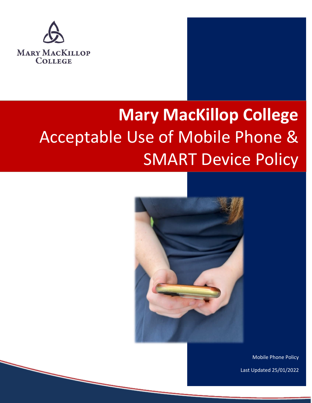

# **Mary MacKillop College**  Acceptable Use of Mobile Phone & SMART Device Policy



Mobile Phone Policy

Last Updated 25/01/2022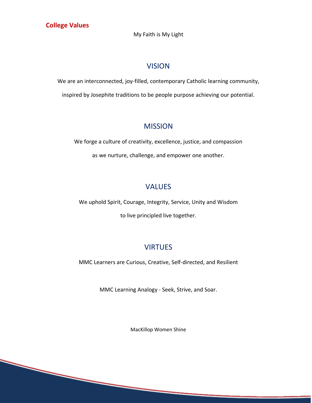#### **College Values**

My Faith is My Light

## VISION

We are an interconnected, joy-filled, contemporary Catholic learning community, inspired by Josephite traditions to be people purpose achieving our potential.

## **MISSION**

We forge a culture of creativity, excellence, justice, and compassion as we nurture, challenge, and empower one another.

## VALUES

We uphold Spirit, Courage, Integrity, Service, Unity and Wisdom

to live principled live together.

# **VIRTUES**

MMC Learners are Curious, Creative, Self-directed, and Resilient

MMC Learning Analogy - Seek, Strive, and Soar.

MacKillop Women Shine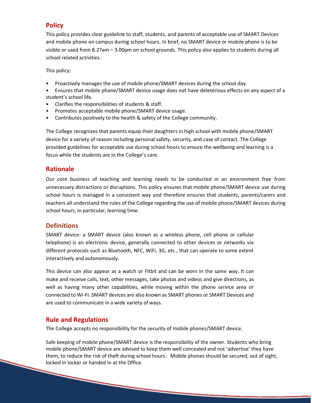## **Policy**

This policy provides clear guideline to staff, students, and parents of acceptable use of SMART Devices and mobile phone on campus during school hours. In brief, no SMART device or mobile phone is to be visible or used from 8.27am – 3.00pm on school grounds. This policy also applies to students during all school related activities.

This policy:

- Proactively manages the use of mobile phone/SMART devices during the school day.
- Ensures that mobile phone/SMART device usage does not have deleterious effects on any aspect of a student's school life.
- Clarifies the responsibilities of students & staff.
- Promotes acceptable mobile phone/SMART device usage.
- Contributes positively to the health & safety of the College community.

The College recognizes that parents equip their daughters in high school with mobile phone/SMART device for a variety of reason including personal safety, security, and case of contact. The College provided guidelines for acceptable use during school hours to ensure the wellbeing and learning is a focus while the students are in the College's care.

#### **Rationale**

Our core business of teaching and learning needs to be conducted in an environment free from unnecessary distractions or disruptions. This policy ensures that mobile phone/SMART device use during school hours is managed in a consistent way and therefore ensures that students, parents/carers and teachers all understand the rules of the College regarding the use of mobile phone/SMART devices during school hours, in particular, learning time.

#### **Definitions**

SMART device: a SMART device (also known as a wireless phone, cell phone or cellular telephone) is an electronic device, generally connected to other devices or networks via different protocols such as Bluetooth, NFC, WiFi, 3G, etc., that can operate to some extent interactively and autonomously.

This device can also appear as a watch or Fitbit and can be worn in the same way. It can make and receive calls, text, other messages, take photos and videos and give directions, as well as having many other capabilities, while moving within the phone service area or connected to Wi-Fi. SMART devices are also known as SMART phones or SMART Devices and are used to communicate in a wide variety of ways.

## **Rule and Regulations**

The College accepts no responsibility for the security of mobile phones/SMART device.

Safe keeping of mobile phone/SMART device is the responsibility of the owner. Students who bring mobile phone/SMART device are advised to keep them well concealed and not 'advertise' they have them, to reduce the risk of theft during school hours. Mobile phones should be secured, out of sight, locked in locker or handed in at the Office.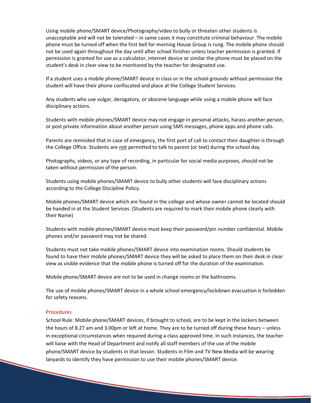Using mobile phone/SMART device/Photography/video to bully or threaten other students is unacceptable and will not be tolerated – in same cases it may constitute criminal behaviour. The mobile phone must be turned off when the first bell for morning House Group is rung. The mobile phone should not be used again throughout the day until after school finishes unless teacher permission is granted. If permission is granted for use as a calculator, internet device or similar the phone must be placed on the student's desk in clear view to be monitored by the teacher for designated use.

If a student uses a mobile phone/SMART device in class or in the school grounds without permission the student will have their phone confiscated and place at the College Student Services.

Any students who use vulgar, derogatory, or obscene language while using a mobile phone will face disciplinary actions.

Students with mobile phones/SMART device may not engage in personal attacks, harass another person, or post private information about another person using SMS messages, phone apps and phone calls.

Parents are reminded that in case of emergency, the first port of call to contact their daughter is through the College Office. Students are not permitted to talk to parent (or text) during the school day.

Photographs, videos, or any type of recording, in particular for social media purposes, should not be taken without permission of the person.

Students using mobile phones/SMART device to bully other students will face disciplinary actions according to the College Discipline Policy. **MOBILE PHONE POLICY**

Mobile phones/SMART device which are found in the college and whose owner cannot be located should be handed in at the Student Services. (Students are required to mark their mobile phone clearly with their Name)

Students with mobile phones/SMART device must keep their password/pin number confidential. Mobile phones and/or password may not be shared.

Students must not take mobile phones/SMART device into examination rooms. Should students be found to have their mobile phones/SMART device they will be asked to place them on their desk in clear view as visible evidence that the mobile phone is turned off for the duration of the examination.

Mobile phone/SMART device are not to be used in change rooms or the bathrooms.

The use of mobile phones/SMART device in a whole school emergency/lockdown evacuation is forbidden for safety reasons.

#### Procedures

School Rule: Mobile phone/SMART devices, if brought to school, are to be kept in the lockers between the hours of 8.27 am and 3.00pm or left at home. They are to be turned off during these hours – unless in exceptional circumstances when required during a class approved time. In such instances, the teacher will liaise with the Head of Department and notify all staff members of the use of the mobile phone/SMART device by students in that lesson. Students in Film and TV New Media will be wearing lanyards to identify they have permission to use their mobile phones/SMART device.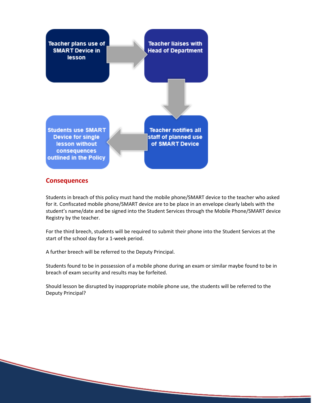

#### **Consequences**

Students in breach of this policy must hand the mobile phone/SMART device to the teacher who asked for it. Confiscated mobile phone/SMART device are to be place in an envelope clearly labels with the student's name/date and be signed into the Student Services through the Mobile Phone/SMART device Registry by the teacher.

For the third breech, students will be required to submit their phone into the Student Services at the start of the school day for a 1-week period.

A further breech will be referred to the Deputy Principal.

Students found to be in possession of a mobile phone during an exam or similar maybe found to be in breach of exam security and results may be forfeited.

Should lesson be disrupted by inappropriate mobile phone use, the students will be referred to the Deputy Principal?